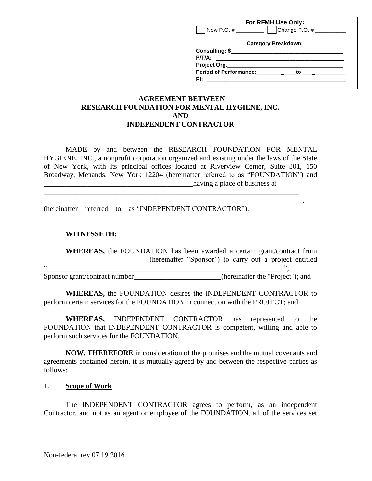| For RFMH Use Only:<br>Change P.O. $#$<br>New P.O. $\#$ |  |
|--------------------------------------------------------|--|
| <b>Category Breakdown:</b>                             |  |
| $P/T/A$ :                                              |  |
|                                                        |  |
| <b>Period of Performance:</b><br>to                    |  |
| PI:                                                    |  |

### **AGREEMENT BETWEEN RESEARCH FOUNDATION FOR MENTAL HYGIENE, INC. AND INDEPENDENT CONTRACTOR**

MADE by and between the RESEARCH FOUNDATION FOR MENTAL HYGIENE, INC., a nonprofit corporation organized and existing under the laws of the State of New York, with its principal offices located at Riverview Center, Suite 301, 150 Broadway, Menands, New York 12204 (hereinafter referred to as "FOUNDATION") and \_\_\_\_\_\_\_\_\_\_\_\_\_\_\_\_\_\_\_\_\_\_\_\_\_\_\_\_\_\_\_\_\_\_\_\_\_\_\_\_\_having a place of business at

\_\_\_\_\_\_\_\_\_\_\_\_\_\_\_\_\_\_\_\_\_\_\_\_\_\_\_\_\_\_\_\_\_\_\_\_\_\_\_\_\_\_\_\_\_\_\_\_\_\_\_\_\_\_\_\_\_\_\_\_\_\_\_\_\_\_\_\_\_\_ \_\_\_\_\_\_\_\_\_\_\_\_\_\_\_\_\_\_\_\_\_\_\_\_\_\_\_\_\_\_\_\_\_\_\_\_\_\_\_\_\_\_\_\_\_\_\_\_\_\_\_\_\_\_\_\_\_\_\_\_\_\_\_\_\_\_\_\_\_\_\_,

(hereinafter referred to as "INDEPENDENT CONTRACTOR").

#### **WITNESSETH:**

**WHEREAS,** the FOUNDATION has been awarded a certain grant/contract from (hereinafter "Sponsor") to carry out a project entitled

Sponsor grant/contract number\_\_\_\_\_\_\_\_\_\_\_\_\_\_\_\_\_\_\_\_\_\_(hereinafter the "Project"); and

 $\cdots$   $\cdots$   $\cdots$   $\cdots$   $\cdots$   $\cdots$   $\cdots$   $\cdots$   $\cdots$   $\cdots$   $\cdots$   $\cdots$   $\cdots$   $\cdots$   $\cdots$   $\cdots$   $\cdots$   $\cdots$   $\cdots$   $\cdots$   $\cdots$   $\cdots$   $\cdots$   $\cdots$   $\cdots$   $\cdots$   $\cdots$   $\cdots$   $\cdots$   $\cdots$   $\cdots$   $\cdots$   $\cdots$   $\cdots$   $\cdots$   $\cdots$   $\cdots$ 

**WHEREAS,** the FOUNDATION desires the INDEPENDENT CONTRACTOR to perform certain services for the FOUNDATION in connection with the PROJECT; and

**WHEREAS,** INDEPENDENT CONTRACTOR has represented to the FOUNDATION that INDEPENDENT CONTRACTOR is competent, willing and able to perform such services for the FOUNDATION.

**NOW, THEREFORE** in consideration of the promises and the mutual covenants and agreements contained herein, it is mutually agreed by and between the respective parties as follows:

#### 1. **Scope of Work**

The INDEPENDENT CONTRACTOR agrees to perform, as an independent Contractor, and not as an agent or employee of the FOUNDATION, all of the services set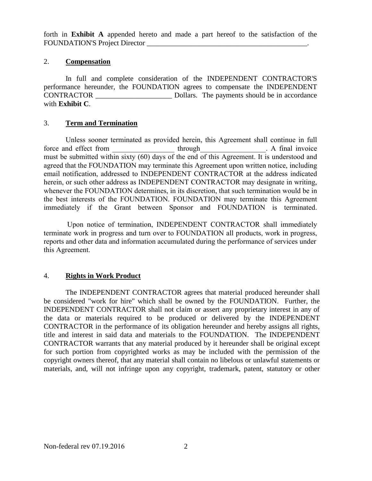forth in **Exhibit A** appended hereto and made a part hereof to the satisfaction of the FOUNDATION'S Project Director \_\_\_\_\_\_\_\_\_\_\_\_\_\_\_\_\_\_\_\_\_\_\_\_\_\_\_\_\_\_\_\_\_\_\_\_\_\_\_\_\_\_\_\_.

## 2. **Compensation**

In full and complete consideration of the INDEPENDENT CONTRACTOR'S performance hereunder, the FOUNDATION agrees to compensate the INDEPENDENT CONTRACTOR \_\_\_\_\_\_\_\_\_\_\_\_\_\_\_\_\_\_\_\_\_ Dollars. The payments should be in accordance with **Exhibit C**.

## 3. **Term and Termination**

Unless sooner terminated as provided herein, this Agreement shall continue in full force and effect from through through through the A final invoice must be submitted within sixty (60) days of the end of this Agreement. It is understood and agreed that the FOUNDATION may terminate this Agreement upon written notice, including email notification, addressed to INDEPENDENT CONTRACTOR at the address indicated herein, or such other address as INDEPENDENT CONTRACTOR may designate in writing, whenever the FOUNDATION determines, in its discretion, that such termination would be in the best interests of the FOUNDATION. FOUNDATION may terminate this Agreement immediately if the Grant between Sponsor and FOUNDATION is terminated.

Upon notice of termination, INDEPENDENT CONTRACTOR shall immediately terminate work in progress and turn over to FOUNDATION all products, work in progress, reports and other data and information accumulated during the performance of services under this Agreement.

## 4. **Rights in Work Product**

The INDEPENDENT CONTRACTOR agrees that material produced hereunder shall be considered "work for hire" which shall be owned by the FOUNDATION. Further, the INDEPENDENT CONTRACTOR shall not claim or assert any proprietary interest in any of the data or materials required to be produced or delivered by the INDEPENDENT CONTRACTOR in the performance of its obligation hereunder and hereby assigns all rights, title and interest in said data and materials to the FOUNDATION. The INDEPENDENT CONTRACTOR warrants that any material produced by it hereunder shall be original except for such portion from copyrighted works as may be included with the permission of the copyright owners thereof, that any material shall contain no libelous or unlawful statements or materials, and, will not infringe upon any copyright, trademark, patent, statutory or other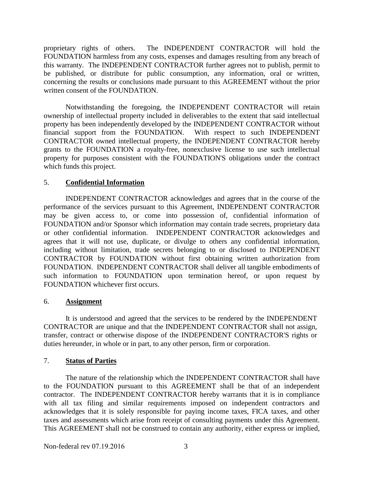proprietary rights of others. The INDEPENDENT CONTRACTOR will hold the FOUNDATION harmless from any costs, expenses and damages resulting from any breach of this warranty. The INDEPENDENT CONTRACTOR further agrees not to publish, permit to be published, or distribute for public consumption, any information, oral or written, concerning the results or conclusions made pursuant to this AGREEMENT without the prior written consent of the FOUNDATION.

Notwithstanding the foregoing, the INDEPENDENT CONTRACTOR will retain ownership of intellectual property included in deliverables to the extent that said intellectual property has been independently developed by the INDEPENDENT CONTRACTOR without financial support from the FOUNDATION. With respect to such INDEPENDENT CONTRACTOR owned intellectual property, the INDEPENDENT CONTRACTOR hereby grants to the FOUNDATION a royalty-free, nonexclusive license to use such intellectual property for purposes consistent with the FOUNDATION'S obligations under the contract which funds this project.

## 5. **Confidential Information**

INDEPENDENT CONTRACTOR acknowledges and agrees that in the course of the performance of the services pursuant to this Agreement, INDEPENDENT CONTRACTOR may be given access to, or come into possession of, confidential information of FOUNDATION and/or Sponsor which information may contain trade secrets, proprietary data or other confidential information. INDEPENDENT CONTRACTOR acknowledges and agrees that it will not use, duplicate, or divulge to others any confidential information, including without limitation, trade secrets belonging to or disclosed to INDEPENDENT CONTRACTOR by FOUNDATION without first obtaining written authorization from FOUNDATION. INDEPENDENT CONTRACTOR shall deliver all tangible embodiments of such information to FOUNDATION upon termination hereof, or upon request by FOUNDATION whichever first occurs.

#### 6. **Assignment**

It is understood and agreed that the services to be rendered by the INDEPENDENT CONTRACTOR are unique and that the INDEPENDENT CONTRACTOR shall not assign, transfer, contract or otherwise dispose of the INDEPENDENT CONTRACTOR'S rights or duties hereunder, in whole or in part, to any other person, firm or corporation.

#### 7. **Status of Parties**

The nature of the relationship which the INDEPENDENT CONTRACTOR shall have to the FOUNDATION pursuant to this AGREEMENT shall be that of an independent contractor. The INDEPENDENT CONTRACTOR hereby warrants that it is in compliance with all tax filing and similar requirements imposed on independent contractors and acknowledges that it is solely responsible for paying income taxes, FICA taxes, and other taxes and assessments which arise from receipt of consulting payments under this Agreement. This AGREEMENT shall not be construed to contain any authority, either express or implied,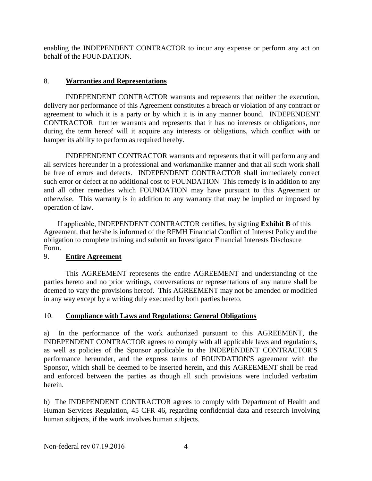enabling the INDEPENDENT CONTRACTOR to incur any expense or perform any act on behalf of the FOUNDATION.

## 8. **Warranties and Representations**

INDEPENDENT CONTRACTOR warrants and represents that neither the execution, delivery nor performance of this Agreement constitutes a breach or violation of any contract or agreement to which it is a party or by which it is in any manner bound. INDEPENDENT CONTRACTOR further warrants and represents that it has no interests or obligations, nor during the term hereof will it acquire any interests or obligations, which conflict with or hamper its ability to perform as required hereby.

INDEPENDENT CONTRACTOR warrants and represents that it will perform any and all services hereunder in a professional and workmanlike manner and that all such work shall be free of errors and defects. INDEPENDENT CONTRACTOR shall immediately correct such error or defect at no additional cost to FOUNDATION This remedy is in addition to any and all other remedies which FOUNDATION may have pursuant to this Agreement or otherwise. This warranty is in addition to any warranty that may be implied or imposed by operation of law.

If applicable, INDEPENDENT CONTRACTOR certifies, by signing **Exhibit B** of this Agreement, that he/she is informed of the RFMH Financial Conflict of Interest Policy and the obligation to complete training and submit an Investigator Financial Interests Disclosure Form.

## 9. **Entire Agreement**

This AGREEMENT represents the entire AGREEMENT and understanding of the parties hereto and no prior writings, conversations or representations of any nature shall be deemed to vary the provisions hereof. This AGREEMENT may not be amended or modified in any way except by a writing duly executed by both parties hereto.

#### 10. **Compliance with Laws and Regulations: General Obligations**

a) In the performance of the work authorized pursuant to this AGREEMENT, the INDEPENDENT CONTRACTOR agrees to comply with all applicable laws and regulations, as well as policies of the Sponsor applicable to the INDEPENDENT CONTRACTOR'S performance hereunder, and the express terms of FOUNDATION'S agreement with the Sponsor, which shall be deemed to be inserted herein, and this AGREEMENT shall be read and enforced between the parties as though all such provisions were included verbatim herein.

b) The INDEPENDENT CONTRACTOR agrees to comply with Department of Health and Human Services Regulation, 45 CFR 46, regarding confidential data and research involving human subjects, if the work involves human subjects.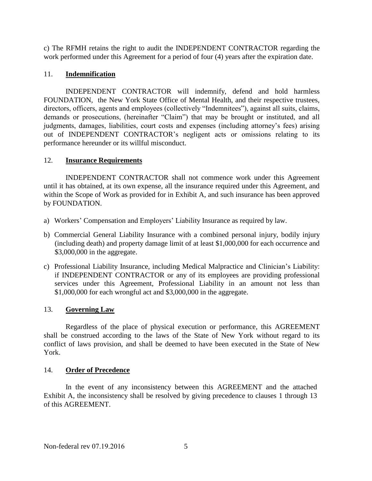c) The RFMH retains the right to audit the INDEPENDENT CONTRACTOR regarding the work performed under this Agreement for a period of four (4) years after the expiration date.

## 11. **Indemnification**

INDEPENDENT CONTRACTOR will indemnify, defend and hold harmless FOUNDATION, the New York State Office of Mental Health, and their respective trustees, directors, officers, agents and employees (collectively "Indemnitees"), against all suits, claims, demands or prosecutions, (hereinafter "Claim") that may be brought or instituted, and all judgments, damages, liabilities, court costs and expenses (including attorney's fees) arising out of INDEPENDENT CONTRACTOR's negligent acts or omissions relating to its performance hereunder or its willful misconduct.

## 12. **Insurance Requirements**

INDEPENDENT CONTRACTOR shall not commence work under this Agreement until it has obtained, at its own expense, all the insurance required under this Agreement, and within the Scope of Work as provided for in Exhibit A, and such insurance has been approved by FOUNDATION.

- a) Workers' Compensation and Employers' Liability Insurance as required by law.
- b) Commercial General Liability Insurance with a combined personal injury, bodily injury (including death) and property damage limit of at least \$1,000,000 for each occurrence and \$3,000,000 in the aggregate.
- c) Professional Liability Insurance, including Medical Malpractice and Clinician's Liability: if INDEPENDENT CONTRACTOR or any of its employees are providing professional services under this Agreement, Professional Liability in an amount not less than \$1,000,000 for each wrongful act and \$3,000,000 in the aggregate.

## 13. **Governing Law**

Regardless of the place of physical execution or performance, this AGREEMENT shall be construed according to the laws of the State of New York without regard to its conflict of laws provision, and shall be deemed to have been executed in the State of New York.

## 14. **Order of Precedence**

In the event of any inconsistency between this AGREEMENT and the attached Exhibit A, the inconsistency shall be resolved by giving precedence to clauses 1 through 13 of this AGREEMENT.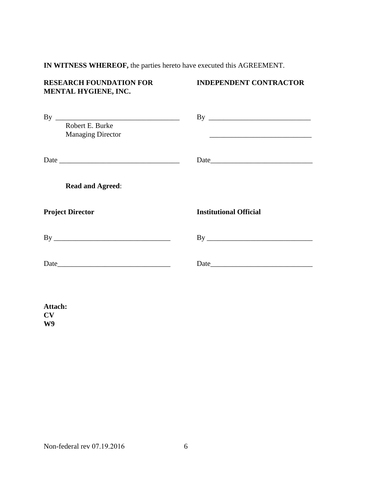## **IN WITNESS WHEREOF,** the parties hereto have executed this AGREEMENT.

# **MENTAL HYGIENE, INC.**

## **RESEARCH FOUNDATION FOR INDEPENDENT CONTRACTOR**

| By<br>Robert E. Burke<br><b>Managing Director</b> | the control of the control of the control of the control of the control of the control of |
|---------------------------------------------------|-------------------------------------------------------------------------------------------|
|                                                   |                                                                                           |
| <b>Read and Agreed:</b>                           |                                                                                           |
|                                                   |                                                                                           |
| <b>Project Director</b>                           | <b>Institutional Official</b>                                                             |
|                                                   |                                                                                           |
|                                                   |                                                                                           |

**Attach: CV W9**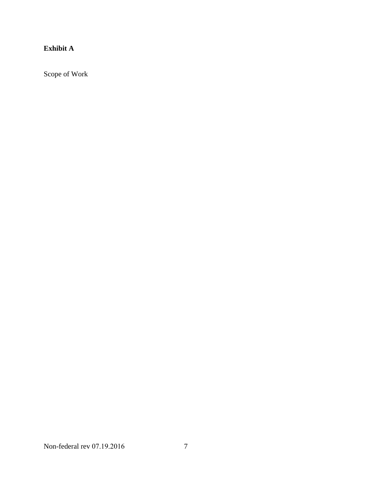# **Exhibit A**

Scope of Work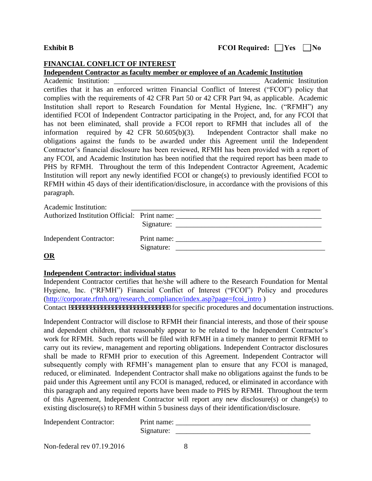#### **Exhibit B**

#### **FINANCIAL CONFLICT OF INTEREST**

#### **Independent Contractor as faculty member or employee of an Academic Institution**

Academic Institution: \_\_\_\_\_\_\_\_\_\_\_\_\_\_\_\_\_\_\_\_\_\_\_\_\_\_\_\_\_\_\_\_\_\_\_\_\_\_\_\_ Academic Institution certifies that it has an enforced written Financial Conflict of Interest ("FCOI") policy that complies with the requirements of 42 CFR Part 50 or 42 CFR Part 94, as applicable. Academic Institution shall report to Research Foundation for Mental Hygiene, Inc. ("RFMH") any identified FCOI of Independent Contractor participating in the Project, and, for any FCOI that has not been eliminated, shall provide a FCOI report to RFMH that includes all of the information required by 42 CFR 50.605(b)(3). Independent Contractor shall make no obligations against the funds to be awarded under this Agreement until the Independent Contractor's financial disclosure has been reviewed, RFMH has been provided with a report of any FCOI, and Academic Institution has been notified that the required report has been made to PHS by RFMH. Throughout the term of this Independent Contractor Agreement, Academic Institution will report any newly identified FCOI or change(s) to previously identified FCOI to RFMH within 45 days of their identification/disclosure, in accordance with the provisions of this paragraph.

Academic Institution:

| Authorized Institution Official: Print name: | Signature: |             |
|----------------------------------------------|------------|-------------|
| Independent Contractor:                      | Signature: | Print name: |
|                                              |            |             |

#### **OR**

#### **Independent Contractor: individual status**

Independent Contractor certifies that he/she will adhere to the Research Foundation for Mental Hygiene, Inc. ("RFMH") Financial Conflict of Interest ("FCOI") Policy and procedures [\(http://corporate.rfmh.org/research\\_compliance/index.asp?page=fcoi\\_intro](http://corporate.rfmh.org/research_compliance/index.asp?page=fcoi_intro) )

Contact aaaaaaaaaaaaaaaaaaaaaaaaaaaaaa for specific procedures and documentation instructions.

Independent Contractor will disclose to RFMH their financial interests, and those of their spouse and dependent children, that reasonably appear to be related to the Independent Contractor's work for RFMH*.* Such reports will be filed with RFMH in a timely manner to permit RFMH to carry out its review, management and reporting obligations. Independent Contractor disclosures shall be made to RFMH prior to execution of this Agreement. Independent Contractor will subsequently comply with RFMH's management plan to ensure that any FCOI is managed, reduced, or eliminated. Independent Contractor shall make no obligations against the funds to be paid under this Agreement until any FCOI is managed, reduced, or eliminated in accordance with this paragraph and any required reports have been made to PHS by RFMH. Throughout the term of this Agreement, Independent Contractor will report any new disclosure(s) or change(s) to existing disclosure(s) to RFMH within 5 business days of their identification/disclosure.

Independent Contractor:

| Print name: |  |
|-------------|--|
| Signature:  |  |

Non-federal rev 07.19.2016 8